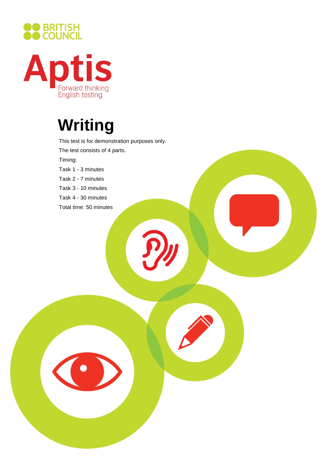



# **Writing**

This test is for demonstration purposes only. The test consists of 4 parts. Timing: Task 1 - 3 minutes Task 2 - 7 minutes Task 3 - 10 minutes Task 4 - 30 minutes Total time: 50 minutes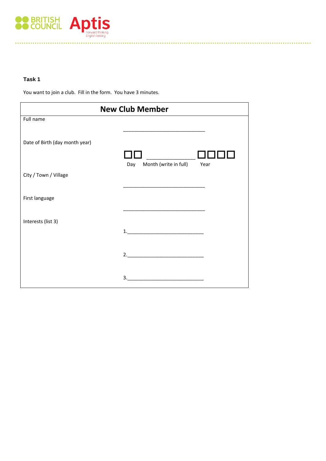

# **Task 1**

You want to join a club. Fill in the form. You have 3 minutes.

| <b>New Club Member</b>         |                                      |
|--------------------------------|--------------------------------------|
| Full name                      |                                      |
| Date of Birth (day month year) |                                      |
|                                | Month (write in full)<br>Year<br>Day |
| City / Town / Village          |                                      |
| First language                 |                                      |
| Interests (list 3)             |                                      |
|                                |                                      |
|                                | 2.                                   |
|                                | 3.                                   |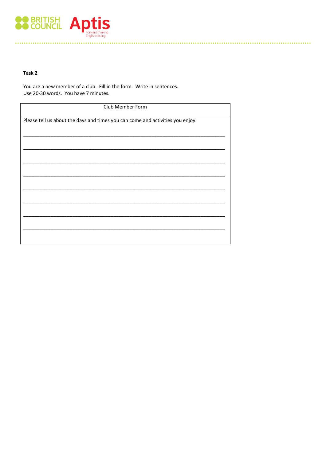

## Task 2

You are a new member of a club. Fill in the form. Write in sentences. Use 20-30 words. You have 7 minutes.

| Club Member Form                                                               |  |
|--------------------------------------------------------------------------------|--|
| Please tell us about the days and times you can come and activities you enjoy. |  |
|                                                                                |  |
|                                                                                |  |
|                                                                                |  |
|                                                                                |  |
|                                                                                |  |
|                                                                                |  |
|                                                                                |  |
|                                                                                |  |
|                                                                                |  |
|                                                                                |  |
|                                                                                |  |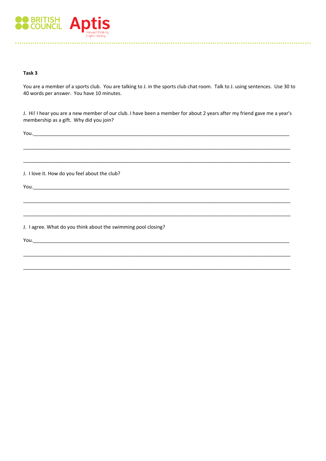

#### Task 3

You are a member of a sports club. You are talking to J. in the sports club chat room. Talk to J. using sentences. Use 30 to 40 words per answer. You have 10 minutes.

J. Hi! I hear you are a new member of our club. I have been a member for about 2 years after my friend gave me a year's membership as a gift. Why did you join?

You.

J. I love it. How do you feel about the club?

You. Not also a series that the contract of the contract of the contract of the contract of the contract of the

J. I agree. What do you think about the swimming pool closing?

You. $\_\_$